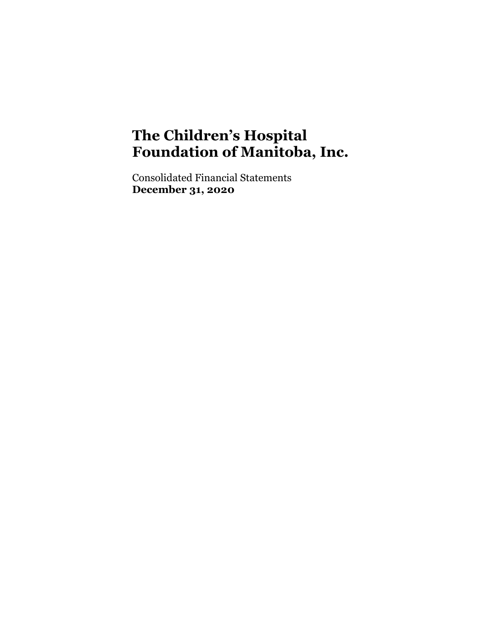Consolidated Financial Statements **December 31, 2020**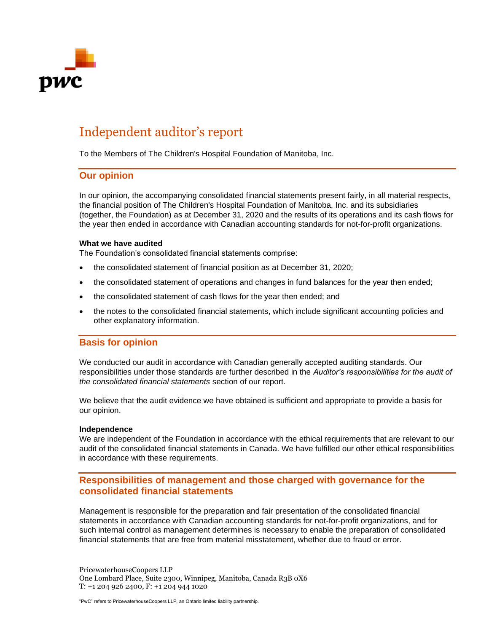

# Independent auditor's report

To the Members of The Children's Hospital Foundation of Manitoba, Inc.

#### **Our opinion**

In our opinion, the accompanying consolidated financial statements present fairly, in all material respects, the financial position of The Children's Hospital Foundation of Manitoba, Inc. and its subsidiaries (together, the Foundation) as at December 31, 2020 and the results of its operations and its cash flows for the year then ended in accordance with Canadian accounting standards for not-for-profit organizations.

#### **What we have audited**

The Foundation's consolidated financial statements comprise:

- the consolidated statement of financial position as at December 31, 2020;
- the consolidated statement of operations and changes in fund balances for the year then ended;
- the consolidated statement of cash flows for the year then ended; and
- the notes to the consolidated financial statements, which include significant accounting policies and other explanatory information.

#### **Basis for opinion**

We conducted our audit in accordance with Canadian generally accepted auditing standards. Our responsibilities under those standards are further described in the *Auditor's responsibilities for the audit of the consolidated financial statements* section of our report.

We believe that the audit evidence we have obtained is sufficient and appropriate to provide a basis for our opinion.

#### **Independence**

We are independent of the Foundation in accordance with the ethical requirements that are relevant to our audit of the consolidated financial statements in Canada. We have fulfilled our other ethical responsibilities in accordance with these requirements.

### **Responsibilities of management and those charged with governance for the consolidated financial statements**

Management is responsible for the preparation and fair presentation of the consolidated financial statements in accordance with Canadian accounting standards for not-for-profit organizations, and for such internal control as management determines is necessary to enable the preparation of consolidated financial statements that are free from material misstatement, whether due to fraud or error.

PricewaterhouseCoopers LLP One Lombard Place, Suite 2300, Winnipeg, Manitoba, Canada R3B 0X6 T: +1 204 926 2400, F: +1 204 944 1020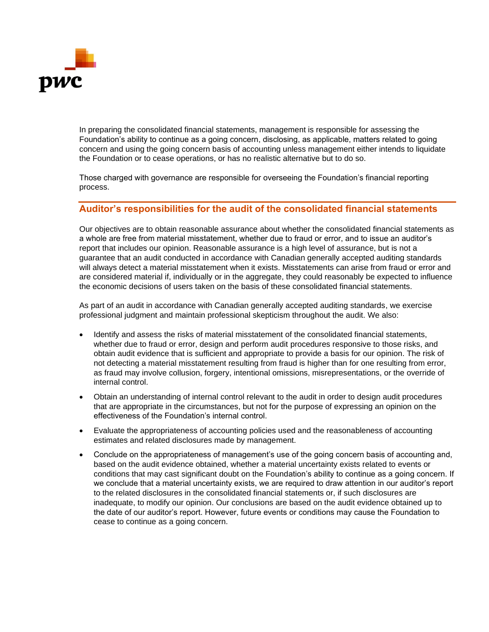

In preparing the consolidated financial statements, management is responsible for assessing the Foundation's ability to continue as a going concern, disclosing, as applicable, matters related to going concern and using the going concern basis of accounting unless management either intends to liquidate the Foundation or to cease operations, or has no realistic alternative but to do so.

Those charged with governance are responsible for overseeing the Foundation's financial reporting process.

#### **Auditor's responsibilities for the audit of the consolidated financial statements**

Our objectives are to obtain reasonable assurance about whether the consolidated financial statements as a whole are free from material misstatement, whether due to fraud or error, and to issue an auditor's report that includes our opinion. Reasonable assurance is a high level of assurance, but is not a guarantee that an audit conducted in accordance with Canadian generally accepted auditing standards will always detect a material misstatement when it exists. Misstatements can arise from fraud or error and are considered material if, individually or in the aggregate, they could reasonably be expected to influence the economic decisions of users taken on the basis of these consolidated financial statements.

As part of an audit in accordance with Canadian generally accepted auditing standards, we exercise professional judgment and maintain professional skepticism throughout the audit. We also:

- Identify and assess the risks of material misstatement of the consolidated financial statements, whether due to fraud or error, design and perform audit procedures responsive to those risks, and obtain audit evidence that is sufficient and appropriate to provide a basis for our opinion. The risk of not detecting a material misstatement resulting from fraud is higher than for one resulting from error, as fraud may involve collusion, forgery, intentional omissions, misrepresentations, or the override of internal control.
- Obtain an understanding of internal control relevant to the audit in order to design audit procedures that are appropriate in the circumstances, but not for the purpose of expressing an opinion on the effectiveness of the Foundation's internal control.
- Evaluate the appropriateness of accounting policies used and the reasonableness of accounting estimates and related disclosures made by management.
- Conclude on the appropriateness of management's use of the going concern basis of accounting and, based on the audit evidence obtained, whether a material uncertainty exists related to events or conditions that may cast significant doubt on the Foundation's ability to continue as a going concern. If we conclude that a material uncertainty exists, we are required to draw attention in our auditor's report to the related disclosures in the consolidated financial statements or, if such disclosures are inadequate, to modify our opinion. Our conclusions are based on the audit evidence obtained up to the date of our auditor's report. However, future events or conditions may cause the Foundation to cease to continue as a going concern.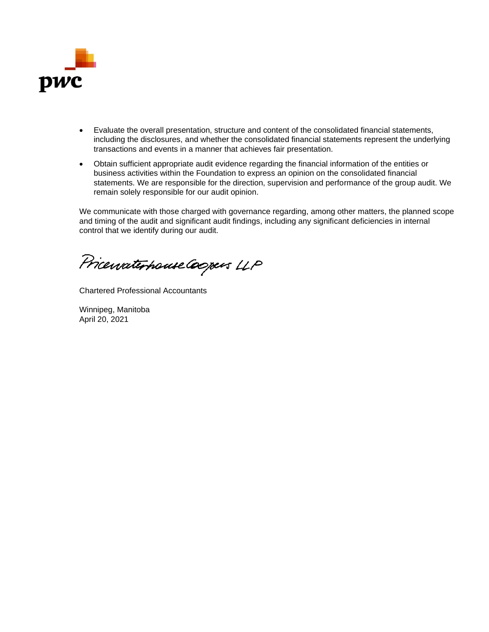

- Evaluate the overall presentation, structure and content of the consolidated financial statements, including the disclosures, and whether the consolidated financial statements represent the underlying transactions and events in a manner that achieves fair presentation.
- Obtain sufficient appropriate audit evidence regarding the financial information of the entities or business activities within the Foundation to express an opinion on the consolidated financial statements. We are responsible for the direction, supervision and performance of the group audit. We remain solely responsible for our audit opinion.

We communicate with those charged with governance regarding, among other matters, the planned scope and timing of the audit and significant audit findings, including any significant deficiencies in internal control that we identify during our audit.

Pricewaterhouse Coopers LLP

Chartered Professional Accountants

Winnipeg, Manitoba April 20, 2021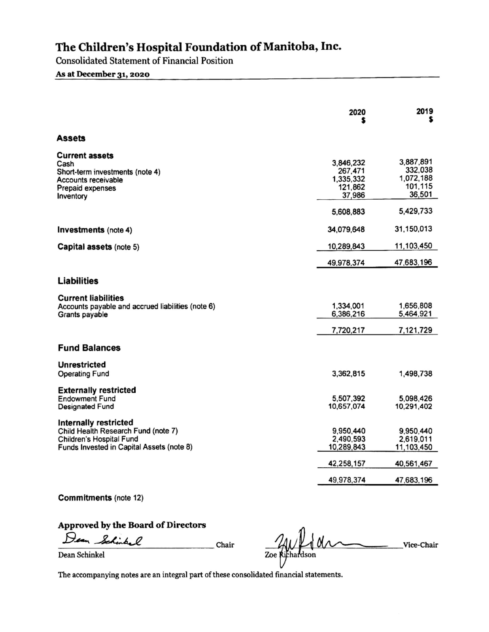**Consolidated Statement of Financial Position** 

#### As at December 31, 2020

|                                                                                                                                       | 2020                                                   | 2019                                                   |
|---------------------------------------------------------------------------------------------------------------------------------------|--------------------------------------------------------|--------------------------------------------------------|
| Assets                                                                                                                                |                                                        |                                                        |
| <b>Current assets</b><br>Cash<br>Short-term investments (note 4)<br>Accounts receivable<br>Prepaid expenses<br>Inventory              | 3,846,232<br>267,471<br>1,335,332<br>121,862<br>37,986 | 3,887,891<br>332,038<br>1,072,188<br>101,115<br>36,501 |
|                                                                                                                                       | 5,608,883                                              | 5,429,733                                              |
| <b>Investments</b> (note 4)                                                                                                           | 34,079,648                                             | 31,150,013                                             |
| Capital assets (note 5)                                                                                                               | 10,289,843                                             | 11,103,450                                             |
|                                                                                                                                       | 49,978,374                                             | 47,683,196                                             |
| <b>Liabilities</b>                                                                                                                    |                                                        |                                                        |
| <b>Current liabilities</b><br>Accounts payable and accrued liabilities (note 6)<br>Grants payable                                     | 1,334,001<br>6,386,216<br>7,720,217                    | 1,656,808<br>5,464,921<br>7,121,729                    |
| <b>Fund Balances</b>                                                                                                                  |                                                        |                                                        |
| <b>Unrestricted</b><br><b>Operating Fund</b>                                                                                          | 3,362,815                                              | 1,498,738                                              |
| <b>Externally restricted</b><br><b>Endowment Fund</b><br><b>Designated Fund</b>                                                       | 5,507,392<br>10,657,074                                | 5,098,426<br>10,291,402                                |
| Internally restricted<br>Child Health Research Fund (note 7)<br>Children's Hospital Fund<br>Funds Invested in Capital Assets (note 8) | 9,950,440<br>2,490,593<br>10,289,843                   | 9.950.440<br>2,619,011<br>11,103,450                   |
|                                                                                                                                       | 42,258,157                                             | 40,561,467                                             |
|                                                                                                                                       | 49,978,374                                             | 47,683,196                                             |

Commitments (note 12)

### Approved by the Board of Directors

Dean Schinbal

Chair

Dean Schinkel

Vice-Chair Zoe Richardson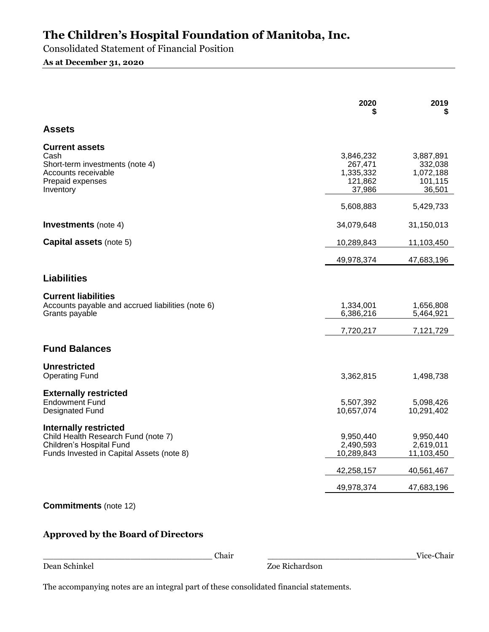Consolidated Statement of Financial Position

### **As at December 31, 2020**

|                                                                                                                                              | 2020                                                   | 2019<br>S                                              |
|----------------------------------------------------------------------------------------------------------------------------------------------|--------------------------------------------------------|--------------------------------------------------------|
| <b>Assets</b>                                                                                                                                |                                                        |                                                        |
| <b>Current assets</b><br>Cash<br>Short-term investments (note 4)<br>Accounts receivable<br>Prepaid expenses<br>Inventory                     | 3,846,232<br>267,471<br>1,335,332<br>121,862<br>37,986 | 3,887,891<br>332,038<br>1,072,188<br>101,115<br>36,501 |
|                                                                                                                                              | 5,608,883                                              | 5,429,733                                              |
| <b>Investments</b> (note 4)                                                                                                                  | 34,079,648                                             | 31,150,013                                             |
| <b>Capital assets (note 5)</b>                                                                                                               | 10,289,843                                             | 11,103,450                                             |
|                                                                                                                                              | 49,978,374                                             | 47,683,196                                             |
| <b>Liabilities</b>                                                                                                                           |                                                        |                                                        |
| <b>Current liabilities</b><br>Accounts payable and accrued liabilities (note 6)<br>Grants payable                                            | 1,334,001<br>6,386,216                                 | 1,656,808<br>5,464,921                                 |
|                                                                                                                                              | 7,720,217                                              | 7,121,729                                              |
| <b>Fund Balances</b>                                                                                                                         |                                                        |                                                        |
| <b>Unrestricted</b><br><b>Operating Fund</b>                                                                                                 | 3,362,815                                              | 1,498,738                                              |
| <b>Externally restricted</b><br><b>Endowment Fund</b><br><b>Designated Fund</b>                                                              | 5,507,392<br>10,657,074                                | 5,098,426<br>10,291,402                                |
| <b>Internally restricted</b><br>Child Health Research Fund (note 7)<br>Children's Hospital Fund<br>Funds Invested in Capital Assets (note 8) | 9,950,440<br>2,490,593<br>10,289,843                   | 9,950,440<br>2,619,011<br>11,103,450                   |
|                                                                                                                                              | 42,258,157                                             | 40,561,467                                             |
|                                                                                                                                              | 49,978,374                                             | 47,683,196                                             |
| <b>Commitments</b> (note 12)                                                                                                                 |                                                        |                                                        |

### **Approved by the Board of Directors**

Dean Schinkel Zoe Richardson

\_\_\_\_\_\_\_\_\_\_\_\_\_\_\_\_\_\_\_\_\_\_\_\_\_\_\_\_\_\_\_\_\_ Chair \_\_\_\_\_\_\_\_\_\_\_\_\_\_\_\_\_\_\_\_\_\_\_\_\_\_\_\_\_Vice-Chair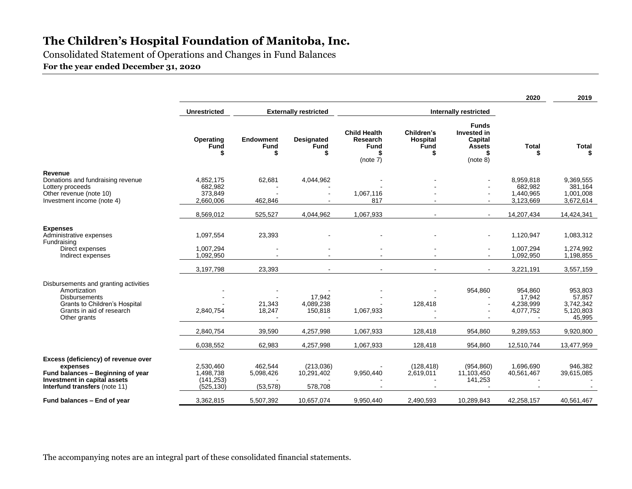Consolidated Statement of Operations and Changes in Fund Balances

**For the year ended December 31, 2020**

|                                                                                                                                                                    |                                                    |                                       |                                       |                                                                 |                                            |                                                                          | 2020                                           | 2019                                                  |
|--------------------------------------------------------------------------------------------------------------------------------------------------------------------|----------------------------------------------------|---------------------------------------|---------------------------------------|-----------------------------------------------------------------|--------------------------------------------|--------------------------------------------------------------------------|------------------------------------------------|-------------------------------------------------------|
|                                                                                                                                                                    | <b>Unrestricted</b>                                |                                       | <b>Externally restricted</b>          |                                                                 |                                            | Internally restricted                                                    |                                                |                                                       |
|                                                                                                                                                                    | Operating<br><b>Fund</b>                           | <b>Endowment</b><br><b>Fund</b><br>\$ | <b>Designated</b><br><b>Fund</b><br>S | <b>Child Health</b><br>Research<br><b>Fund</b><br>S<br>(note 7) | Children's<br>Hospital<br><b>Fund</b><br>S | <b>Funds</b><br>Invested in<br>Capital<br><b>Assets</b><br>S<br>(note 8) | <b>Total</b>                                   | <b>Total</b><br>\$                                    |
| Revenue<br>Donations and fundraising revenue<br>Lottery proceeds<br>Other revenue (note 10)<br>Investment income (note 4)                                          | 4,852,175<br>682,982<br>373,849<br>2,660,006       | 62,681<br>462,846                     | 4,044,962<br>$\blacksquare$           | 1,067,116<br>817                                                |                                            | $\sim$                                                                   | 8,959,818<br>682,982<br>1,440,965<br>3,123,669 | 9,369,555<br>381.164<br>1,001,008<br>3,672,614        |
|                                                                                                                                                                    | 8.569.012                                          | 525.527                               | 4.044.962                             | 1.067.933                                                       |                                            | $\sim$                                                                   | 14,207,434                                     | 14,424,341                                            |
| <b>Expenses</b><br>Administrative expenses<br>Fundraising<br>Direct expenses<br>Indirect expenses                                                                  | 1,097,554<br>1,007,294<br>1,092,950                | 23,393                                | $\mathbf{r}$                          | $\sim$                                                          | $\sim$                                     | ä,<br>$\blacksquare$<br>$\sim$                                           | 1,120,947<br>1,007,294<br>1,092,950            | 1,083,312<br>1,274,992<br>1,198,855                   |
|                                                                                                                                                                    | 3,197,798                                          | 23,393                                |                                       |                                                                 |                                            | $\blacksquare$                                                           | 3,221,191                                      | 3,557,159                                             |
| Disbursements and granting activities<br>Amortization<br><b>Disbursements</b><br><b>Grants to Children's Hospital</b><br>Grants in aid of research<br>Other grants | 2,840,754                                          | 21,343<br>18,247                      | 17,942<br>4,089,238<br>150,818        | 1,067,933                                                       | 128,418                                    | 954,860                                                                  | 954,860<br>17,942<br>4,238,999<br>4,077,752    | 953,803<br>57,857<br>3,742,342<br>5,120,803<br>45,995 |
|                                                                                                                                                                    | 2,840,754                                          | 39,590                                | 4,257,998                             | 1,067,933                                                       | 128,418                                    | 954,860                                                                  | 9,289,553                                      | 9,920,800                                             |
|                                                                                                                                                                    | 6,038,552                                          | 62,983                                | 4,257,998                             | 1,067,933                                                       | 128,418                                    | 954,860                                                                  | 12,510,744                                     | 13,477,959                                            |
| Excess (deficiency) of revenue over<br>expenses<br>Fund balances - Beginning of year<br>Investment in capital assets<br>Interfund transfers (note 11)              | 2,530,460<br>1,498,738<br>(141, 253)<br>(525, 130) | 462,544<br>5,098,426<br>(53, 578)     | (213,036)<br>10,291,402<br>578,708    | 9,950,440                                                       | (128, 418)<br>2,619,011                    | (954, 860)<br>11,103,450<br>141,253                                      | 1,696,690<br>40,561,467                        | 946,382<br>39,615,085                                 |
| Fund balances - End of year                                                                                                                                        | 3,362,815                                          | 5,507,392                             | 10,657,074                            | 9,950,440                                                       | 2,490,593                                  | 10,289,843                                                               | 42,258,157                                     | 40,561,467                                            |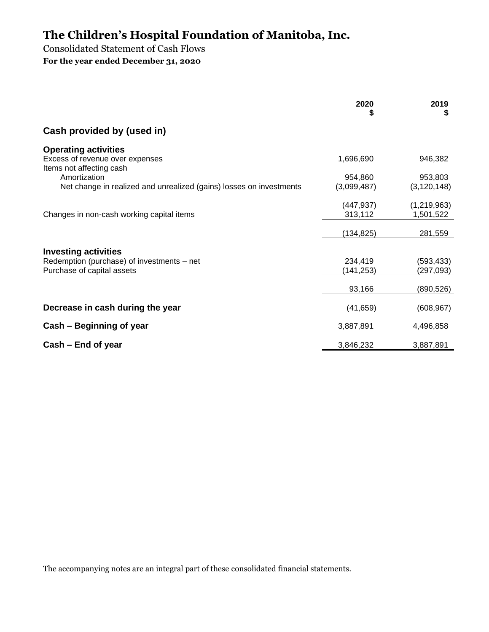Consolidated Statement of Cash Flows

**For the year ended December 31, 2020**

|                                                                                                         | 2020<br>S              | 2019<br>S                |
|---------------------------------------------------------------------------------------------------------|------------------------|--------------------------|
| Cash provided by (used in)                                                                              |                        |                          |
| <b>Operating activities</b><br>Excess of revenue over expenses<br>Items not affecting cash              | 1,696,690              | 946,382                  |
| Amortization<br>Net change in realized and unrealized (gains) losses on investments                     | 954.860<br>(3,099,487) | 953,803<br>(3, 120, 148) |
| Changes in non-cash working capital items                                                               | (447, 937)<br>313,112  | (1,219,963)<br>1,501,522 |
|                                                                                                         | (134,825)              | 281,559                  |
| <b>Investing activities</b><br>Redemption (purchase) of investments - net<br>Purchase of capital assets | 234,419<br>(141, 253)  | (593,433)<br>(297,093)   |
|                                                                                                         | 93,166                 | (890, 526)               |
| Decrease in cash during the year                                                                        | (41, 659)              | (608, 967)               |
| Cash – Beginning of year                                                                                | 3,887,891              | 4,496,858                |
| Cash – End of year                                                                                      | 3,846,232              | 3,887,891                |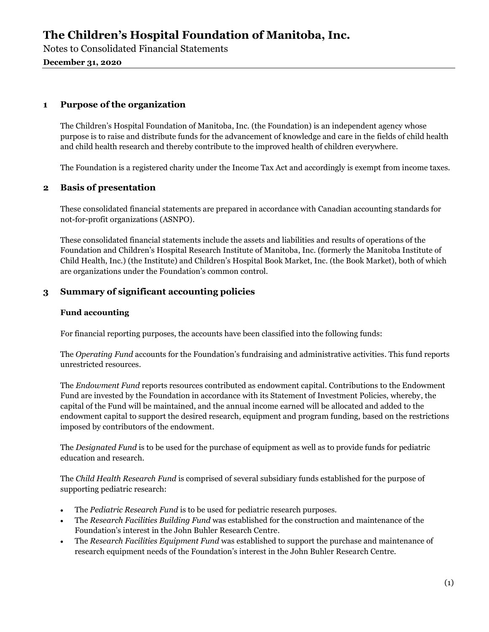Notes to Consolidated Financial Statements

**December 31, 2020**

#### **1 Purpose of the organization**

The Children's Hospital Foundation of Manitoba, Inc. (the Foundation) is an independent agency whose purpose is to raise and distribute funds for the advancement of knowledge and care in the fields of child health and child health research and thereby contribute to the improved health of children everywhere.

The Foundation is a registered charity under the Income Tax Act and accordingly is exempt from income taxes.

#### **2 Basis of presentation**

These consolidated financial statements are prepared in accordance with Canadian accounting standards for not-for-profit organizations (ASNPO).

These consolidated financial statements include the assets and liabilities and results of operations of the Foundation and Children's Hospital Research Institute of Manitoba, Inc. (formerly the Manitoba Institute of Child Health, Inc.) (the Institute) and Children's Hospital Book Market, Inc. (the Book Market), both of which are organizations under the Foundation's common control.

### **3 Summary of significant accounting policies**

#### **Fund accounting**

For financial reporting purposes, the accounts have been classified into the following funds:

The *Operating Fund* accounts for the Foundation's fundraising and administrative activities. This fund reports unrestricted resources.

The *Endowment Fund* reports resources contributed as endowment capital. Contributions to the Endowment Fund are invested by the Foundation in accordance with its Statement of Investment Policies, whereby, the capital of the Fund will be maintained, and the annual income earned will be allocated and added to the endowment capital to support the desired research, equipment and program funding, based on the restrictions imposed by contributors of the endowment.

The *Designated Fund* is to be used for the purchase of equipment as well as to provide funds for pediatric education and research.

The *Child Health Research Fund* is comprised of several subsidiary funds established for the purpose of supporting pediatric research:

- The *Pediatric Research Fund* is to be used for pediatric research purposes.
- The *Research Facilities Building Fund* was established for the construction and maintenance of the Foundation's interest in the John Buhler Research Centre.
- The *Research Facilities Equipment Fund* was established to support the purchase and maintenance of research equipment needs of the Foundation's interest in the John Buhler Research Centre.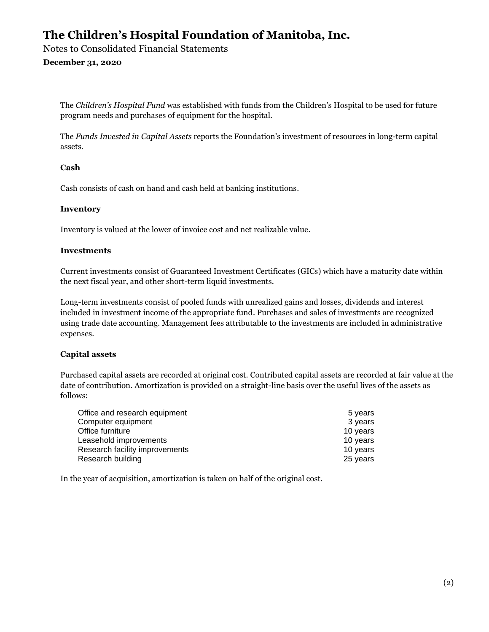Notes to Consolidated Financial Statements

#### **December 31, 2020**

The *Children's Hospital Fund* was established with funds from the Children's Hospital to be used for future program needs and purchases of equipment for the hospital.

The *Funds Invested in Capital Assets* reports the Foundation's investment of resources in long-term capital assets.

#### **Cash**

Cash consists of cash on hand and cash held at banking institutions.

#### **Inventory**

Inventory is valued at the lower of invoice cost and net realizable value.

#### **Investments**

Current investments consist of Guaranteed Investment Certificates (GICs) which have a maturity date within the next fiscal year, and other short-term liquid investments.

Long-term investments consist of pooled funds with unrealized gains and losses, dividends and interest included in investment income of the appropriate fund. Purchases and sales of investments are recognized using trade date accounting. Management fees attributable to the investments are included in administrative expenses.

#### **Capital assets**

Purchased capital assets are recorded at original cost. Contributed capital assets are recorded at fair value at the date of contribution. Amortization is provided on a straight-line basis over the useful lives of the assets as follows:

| Office and research equipment  | 5 years  |
|--------------------------------|----------|
| Computer equipment             | 3 years  |
| Office furniture               | 10 years |
| Leasehold improvements         | 10 years |
| Research facility improvements | 10 years |
| Research building              | 25 years |

In the year of acquisition, amortization is taken on half of the original cost.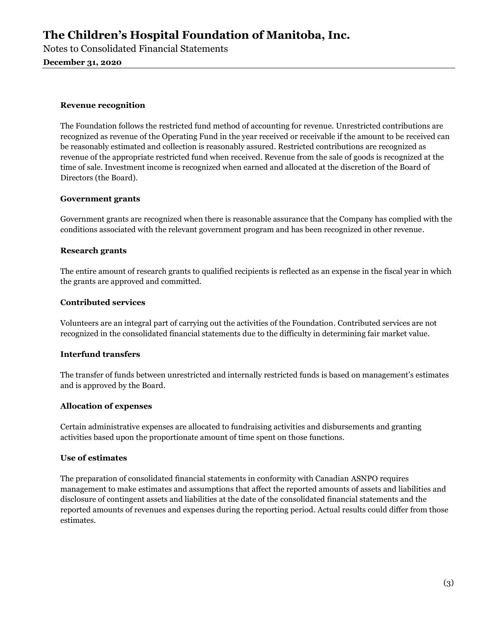Notes to Consolidated Financial Statements

**December 31, 2020**

#### **Revenue recognition**

The Foundation follows the restricted fund method of accounting for revenue. Unrestricted contributions are recognized as revenue of the Operating Fund in the year received or receivable if the amount to be received can be reasonably estimated and collection is reasonably assured. Restricted contributions are recognized as revenue of the appropriate restricted fund when received. Revenue from the sale of goods is recognized at the time of sale. Investment income is recognized when earned and allocated at the discretion of the Board of Directors (the Board).

#### **Government grants**

Government grants are recognized when there is reasonable assurance that the Company has complied with the conditions associated with the relevant government program and has been recognized in other revenue.

#### **Research grants**

The entire amount of research grants to qualified recipients is reflected as an expense in the fiscal year in which the grants are approved and committed.

#### **Contributed services**

Volunteers are an integral part of carrying out the activities of the Foundation. Contributed services are not recognized in the consolidated financial statements due to the difficulty in determining fair market value.

#### **Interfund transfers**

The transfer of funds between unrestricted and internally restricted funds is based on management's estimates and is approved by the Board.

#### **Allocation of expenses**

Certain administrative expenses are allocated to fundraising activities and disbursements and granting activities based upon the proportionate amount of time spent on those functions.

#### **Use of estimates**

The preparation of consolidated financial statements in conformity with Canadian ASNPO requires management to make estimates and assumptions that affect the reported amounts of assets and liabilities and disclosure of contingent assets and liabilities at the date of the consolidated financial statements and the reported amounts of revenues and expenses during the reporting period. Actual results could differ from those estimates.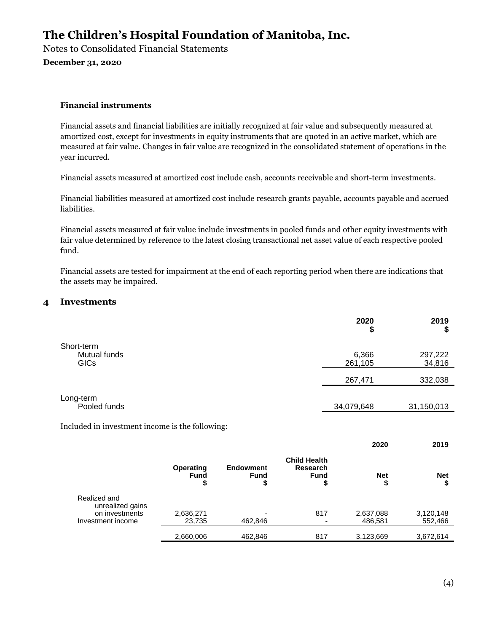Notes to Consolidated Financial Statements

**December 31, 2020**

#### **Financial instruments**

Financial assets and financial liabilities are initially recognized at fair value and subsequently measured at amortized cost, except for investments in equity instruments that are quoted in an active market, which are measured at fair value. Changes in fair value are recognized in the consolidated statement of operations in the year incurred.

Financial assets measured at amortized cost include cash, accounts receivable and short-term investments.

Financial liabilities measured at amortized cost include research grants payable, accounts payable and accrued liabilities.

Financial assets measured at fair value include investments in pooled funds and other equity investments with fair value determined by reference to the latest closing transactional net asset value of each respective pooled fund.

Financial assets are tested for impairment at the end of each reporting period when there are indications that the assets may be impaired.

#### **4 Investments**

|                                           | 2020<br>\$       | 2019<br>\$        |
|-------------------------------------------|------------------|-------------------|
| Short-term<br>Mutual funds<br><b>GICs</b> | 6,366<br>261,105 | 297,222<br>34,816 |
|                                           | 267,471          | 332,038           |
| Long-term<br>Pooled funds                 | 34,079,648       | 31,150,013        |

Included in investment income is the following:

|                                  |                                |                                       |                                                            | 2020            | 2019             |
|----------------------------------|--------------------------------|---------------------------------------|------------------------------------------------------------|-----------------|------------------|
|                                  | Operating<br><b>Fund</b><br>\$ | <b>Endowment</b><br><b>Fund</b><br>\$ | <b>Child Health</b><br><b>Research</b><br><b>Fund</b><br>₽ | <b>Net</b><br>₽ | <b>Net</b><br>\$ |
| Realized and<br>unrealized gains |                                |                                       |                                                            |                 |                  |
| on investments                   | 2,636,271                      |                                       | 817                                                        | 2,637,088       | 3,120,148        |
| Investment income                | 23,735                         | 462,846                               |                                                            | 486,581         | 552,466          |
|                                  | 2,660,006                      | 462,846                               | 817                                                        | 3,123,669       | 3,672,614        |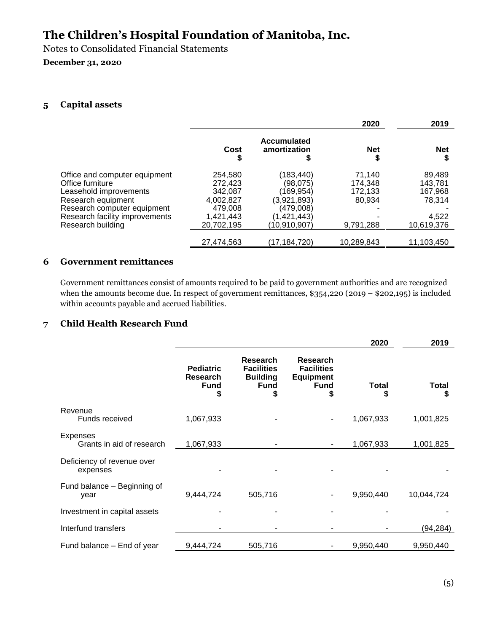Notes to Consolidated Financial Statements

#### **December 31, 2020**

#### **5 Capital assets**

|                                                                                                                                                                                         |                                                                                  |                                                                                               | 2020                                                | 2019                                                          |
|-----------------------------------------------------------------------------------------------------------------------------------------------------------------------------------------|----------------------------------------------------------------------------------|-----------------------------------------------------------------------------------------------|-----------------------------------------------------|---------------------------------------------------------------|
|                                                                                                                                                                                         | Cost<br>\$                                                                       | <b>Accumulated</b><br>amortization                                                            | <b>Net</b><br>\$                                    | <b>Net</b>                                                    |
| Office and computer equipment<br>Office furniture<br>Leasehold improvements<br>Research equipment<br>Research computer equipment<br>Research facility improvements<br>Research building | 254.580<br>272.423<br>342.087<br>4.002.827<br>479.008<br>1.421.443<br>20.702.195 | (183,440)<br>(98.075)<br>(169,954)<br>(3,921,893)<br>(479,008)<br>(1,421,443)<br>(10,910,907) | 71.140<br>174.348<br>172,133<br>80.934<br>9,791,288 | 89,489<br>143.781<br>167,968<br>78,314<br>4,522<br>10,619,376 |
|                                                                                                                                                                                         | 27,474,563                                                                       | (17,184,720)                                                                                  | 10,289,843                                          | 11,103,450                                                    |

#### **6 Government remittances**

Government remittances consist of amounts required to be paid to government authorities and are recognized when the amounts become due. In respect of government remittances, \$354,220 (2019 – \$202,195) is included within accounts payable and accrued liabilities.

### **7 Child Health Research Fund**

|                                        |                                                          |                                                                        |                                                                         | 2020         | 2019               |
|----------------------------------------|----------------------------------------------------------|------------------------------------------------------------------------|-------------------------------------------------------------------------|--------------|--------------------|
|                                        | <b>Pediatric</b><br><b>Research</b><br><b>Fund</b><br>\$ | <b>Research</b><br><b>Facilities</b><br><b>Building</b><br><b>Fund</b> | <b>Research</b><br><b>Facilities</b><br><b>Equipment</b><br><b>Fund</b> | <b>Total</b> | <b>Total</b><br>\$ |
| Revenue<br><b>Funds received</b>       | 1,067,933                                                |                                                                        |                                                                         | 1,067,933    | 1,001,825          |
| Expenses<br>Grants in aid of research  | 1,067,933                                                |                                                                        |                                                                         | 1,067,933    | 1,001,825          |
| Deficiency of revenue over<br>expenses |                                                          |                                                                        |                                                                         |              |                    |
| Fund balance – Beginning of<br>year    | 9,444,724                                                | 505,716                                                                |                                                                         | 9,950,440    | 10,044,724         |
| Investment in capital assets           |                                                          |                                                                        |                                                                         |              |                    |
| Interfund transfers                    |                                                          |                                                                        |                                                                         |              | (94, 284)          |
| Fund balance – End of year             | 9,444,724                                                | 505,716                                                                |                                                                         | 9,950,440    | 9,950,440          |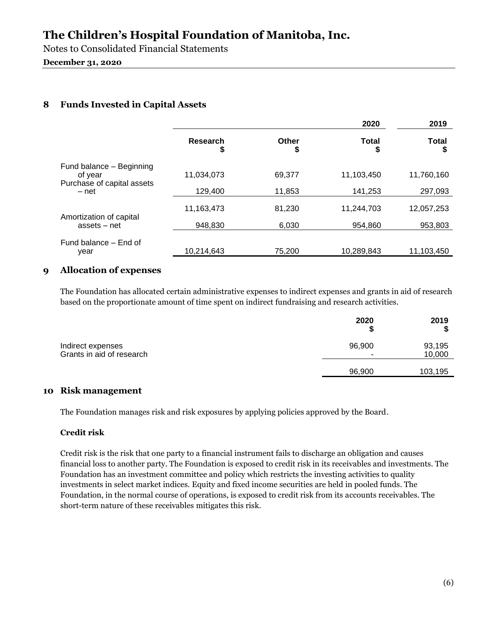Notes to Consolidated Financial Statements

#### **December 31, 2020**

### **8 Funds Invested in Capital Assets**

|                |             | 2020        | 2019        |
|----------------|-------------|-------------|-------------|
| Research<br>\$ | Other<br>\$ | Total<br>\$ | Total<br>\$ |
| 11.034.073     | 69.377      | 11,103,450  | 11,760,160  |
| 129.400        | 11.853      | 141,253     | 297,093     |
| 11,163,473     | 81,230      | 11,244,703  | 12,057,253  |
| 948.830        | 6,030       | 954,860     | 953,803     |
| 10,214,643     | 75,200      | 10,289,843  | 11,103,450  |
|                |             |             |             |

#### **9 Allocation of expenses**

The Foundation has allocated certain administrative expenses to indirect expenses and grants in aid of research based on the proportionate amount of time spent on indirect fundraising and research activities.

|                                                | 2020        | 2019             |
|------------------------------------------------|-------------|------------------|
| Indirect expenses<br>Grants in aid of research | 96,900<br>- | 93,195<br>10,000 |
|                                                | 96,900      | 103,195          |

### **10 Risk management**

The Foundation manages risk and risk exposures by applying policies approved by the Board.

#### **Credit risk**

Credit risk is the risk that one party to a financial instrument fails to discharge an obligation and causes financial loss to another party. The Foundation is exposed to credit risk in its receivables and investments. The Foundation has an investment committee and policy which restricts the investing activities to quality investments in select market indices. Equity and fixed income securities are held in pooled funds. The Foundation, in the normal course of operations, is exposed to credit risk from its accounts receivables. The short-term nature of these receivables mitigates this risk.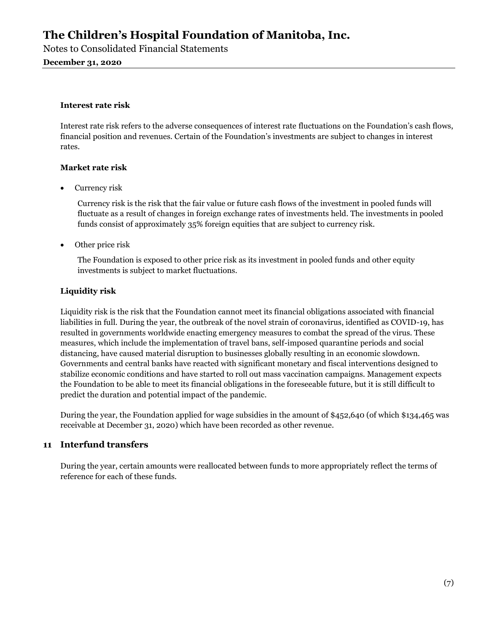Notes to Consolidated Financial Statements

**December 31, 2020**

#### **Interest rate risk**

Interest rate risk refers to the adverse consequences of interest rate fluctuations on the Foundation's cash flows, financial position and revenues. Certain of the Foundation's investments are subject to changes in interest rates.

#### **Market rate risk**

• Currency risk

Currency risk is the risk that the fair value or future cash flows of the investment in pooled funds will fluctuate as a result of changes in foreign exchange rates of investments held. The investments in pooled funds consist of approximately 35% foreign equities that are subject to currency risk.

• Other price risk

The Foundation is exposed to other price risk as its investment in pooled funds and other equity investments is subject to market fluctuations.

#### **Liquidity risk**

Liquidity risk is the risk that the Foundation cannot meet its financial obligations associated with financial liabilities in full. During the year, the outbreak of the novel strain of coronavirus, identified as COVID-19, has resulted in governments worldwide enacting emergency measures to combat the spread of the virus. These measures, which include the implementation of travel bans, self-imposed quarantine periods and social distancing, have caused material disruption to businesses globally resulting in an economic slowdown. Governments and central banks have reacted with significant monetary and fiscal interventions designed to stabilize economic conditions and have started to roll out mass vaccination campaigns. Management expects the Foundation to be able to meet its financial obligations in the foreseeable future, but it is still difficult to predict the duration and potential impact of the pandemic.

During the year, the Foundation applied for wage subsidies in the amount of \$452,640 (of which \$134,465 was receivable at December 31, 2020) which have been recorded as other revenue.

#### **11 Interfund transfers**

During the year, certain amounts were reallocated between funds to more appropriately reflect the terms of reference for each of these funds.